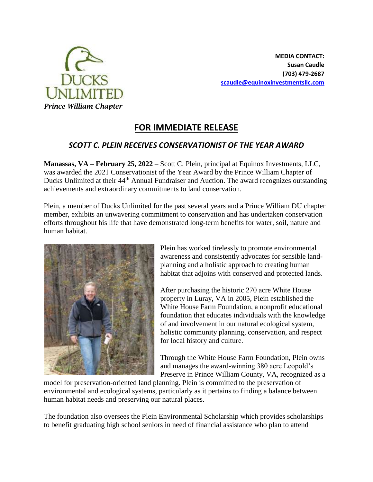

**MEDIA CONTACT: Susan Caudle (703) 479-2687 [scaudle@equinoxinvestmentsllc.com](mailto:scaudle@equinoxinvestmentsllc.com)**

## **FOR IMMEDIATE RELEASE**

## *SCOTT C. PLEIN RECEIVES CONSERVATIONIST OF THE YEAR AWARD*

**Manassas, VA – February 25, 2022** – Scott C. Plein, principal at Equinox Investments, LLC, was awarded the 2021 Conservationist of the Year Award by the Prince William Chapter of Ducks Unlimited at their 44<sup>th</sup> Annual Fundraiser and Auction. The award recognizes outstanding achievements and extraordinary commitments to land conservation.

Plein, a member of Ducks Unlimited for the past several years and a Prince William DU chapter member, exhibits an unwavering commitment to conservation and has undertaken conservation efforts throughout his life that have demonstrated long-term benefits for water, soil, nature and human habitat.



Plein has worked tirelessly to promote environmental awareness and consistently advocates for sensible landplanning and a holistic approach to creating human habitat that adjoins with conserved and protected lands.

After purchasing the historic 270 acre White House property in Luray, VA in 2005, Plein established the White House Farm Foundation, a nonprofit educational foundation that educates individuals with the knowledge of and involvement in our natural ecological system, holistic community planning, conservation, and respect for local history and culture.

Through the White House Farm Foundation, Plein owns and manages the award-winning 380 acre Leopold's Preserve in Prince William County, VA, recognized as a

model for preservation-oriented land planning. Plein is committed to the preservation of environmental and ecological systems, particularly as it pertains to finding a balance between human habitat needs and preserving our natural places.

The foundation also oversees the Plein Environmental Scholarship which provides scholarships to benefit graduating high school seniors in need of financial assistance who plan to attend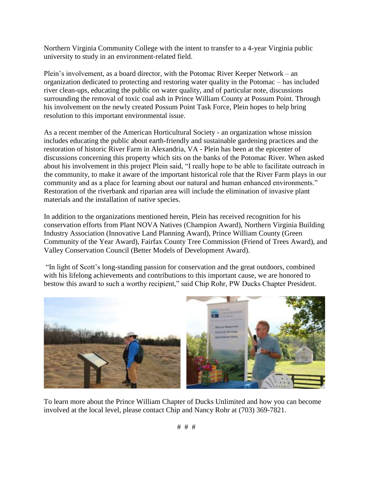Northern Virginia Community College with the intent to transfer to a 4-year Virginia public university to study in an environment-related field.

Plein's involvement, as a board director, with the Potomac River Keeper Network – an organization dedicated to protecting and restoring water quality in the Potomac – has included river clean-ups, educating the public on water quality, and of particular note, discussions surrounding the removal of toxic coal ash in Prince William County at Possum Point. Through his involvement on the newly created Possum Point Task Force, Plein hopes to help bring resolution to this important environmental issue.

As a recent member of the American Horticultural Society - an organization whose mission includes educating the public about earth-friendly and sustainable gardening practices and the restoration of historic River Farm in Alexandria, VA - Plein has been at the epicenter of discussions concerning this property which sits on the banks of the Potomac River. When asked about his involvement in this project Plein said, "I really hope to be able to facilitate outreach in the community, to make it aware of the important historical role that the River Farm plays in our community and as a place for learning about our natural and human enhanced environments." Restoration of the riverbank and riparian area will include the elimination of invasive plant materials and the installation of native species.

In addition to the organizations mentioned herein, Plein has received recognition for his conservation efforts from Plant NOVA Natives (Champion Award), Northern Virginia Building Industry Association (Innovative Land Planning Award), Prince William County (Green Community of the Year Award), Fairfax County Tree Commission (Friend of Trees Award), and Valley Conservation Council (Better Models of Development Award).

"In light of Scott's long-standing passion for conservation and the great outdoors, combined with his lifelong achievements and contributions to this important cause, we are honored to bestow this award to such a worthy recipient," said Chip Rohr, PW Ducks Chapter President.



To learn more about the Prince William Chapter of Ducks Unlimited and how you can become involved at the local level, please contact Chip and Nancy Rohr at (703) 369-7821.

# # #